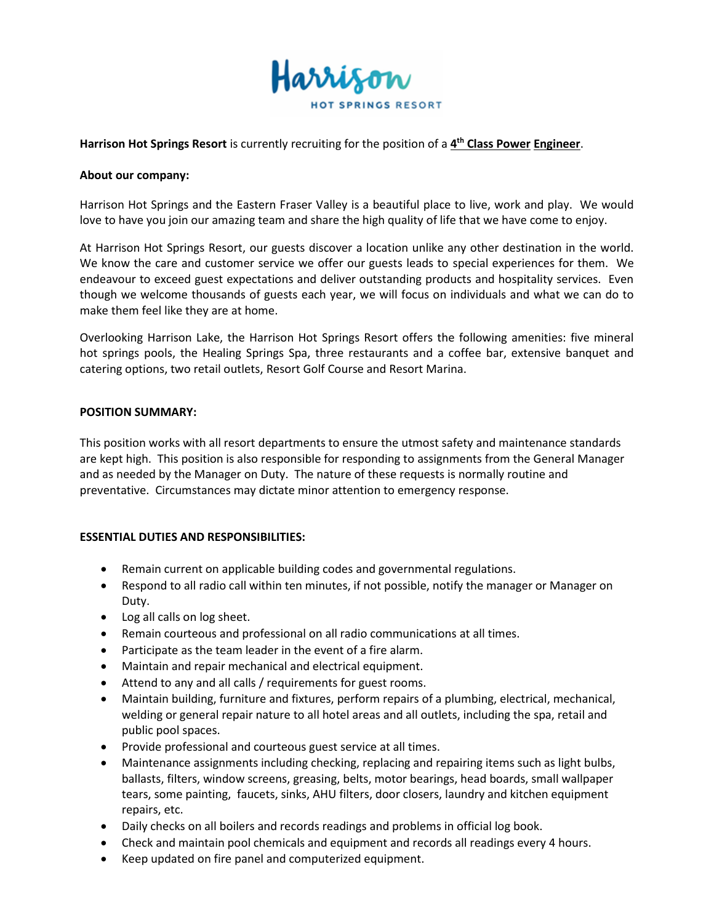

# **Harrison Hot Springs Resort** is currently recruiting for the position of a **4 th Class Power Engineer**.

#### **About our company:**

Harrison Hot Springs and the Eastern Fraser Valley is a beautiful place to live, work and play. We would love to have you join our amazing team and share the high quality of life that we have come to enjoy.

At Harrison Hot Springs Resort, our guests discover a location unlike any other destination in the world. We know the care and customer service we offer our guests leads to special experiences for them. We endeavour to exceed guest expectations and deliver outstanding products and hospitality services. Even though we welcome thousands of guests each year, we will focus on individuals and what we can do to make them feel like they are at home.

Overlooking Harrison Lake, the Harrison Hot Springs Resort offers the following amenities: five mineral hot springs pools, the Healing Springs Spa, three restaurants and a coffee bar, extensive banquet and catering options, two retail outlets, Resort Golf Course and Resort Marina.

#### **POSITION SUMMARY:**

This position works with all resort departments to ensure the utmost safety and maintenance standards are kept high. This position is also responsible for responding to assignments from the General Manager and as needed by the Manager on Duty. The nature of these requests is normally routine and preventative. Circumstances may dictate minor attention to emergency response.

## **ESSENTIAL DUTIES AND RESPONSIBILITIES:**

- Remain current on applicable building codes and governmental regulations.
- Respond to all radio call within ten minutes, if not possible, notify the manager or Manager on Duty.
- Log all calls on log sheet.
- Remain courteous and professional on all radio communications at all times.
- Participate as the team leader in the event of a fire alarm.
- Maintain and repair mechanical and electrical equipment.
- Attend to any and all calls / requirements for guest rooms.
- Maintain building, furniture and fixtures, perform repairs of a plumbing, electrical, mechanical, welding or general repair nature to all hotel areas and all outlets, including the spa, retail and public pool spaces.
- Provide professional and courteous guest service at all times.
- Maintenance assignments including checking, replacing and repairing items such as light bulbs, ballasts, filters, window screens, greasing, belts, motor bearings, head boards, small wallpaper tears, some painting, faucets, sinks, AHU filters, door closers, laundry and kitchen equipment repairs, etc.
- Daily checks on all boilers and records readings and problems in official log book.
- Check and maintain pool chemicals and equipment and records all readings every 4 hours.
- Keep updated on fire panel and computerized equipment.